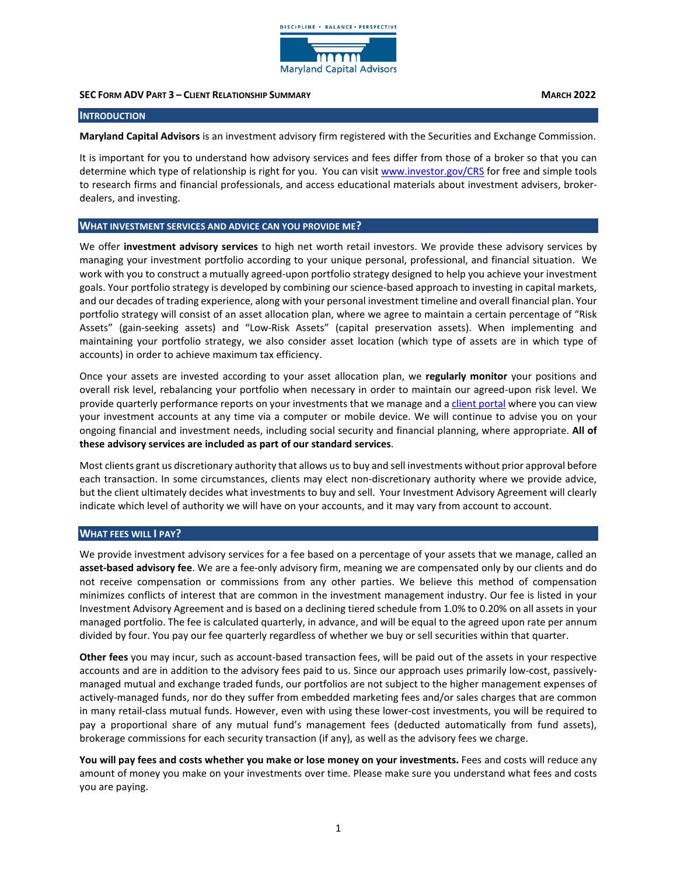

# **SEC FORM ADV PART 3 – CLIENT RELATIONSHIP SUMMARY MARCH 2022**

**INTRODUCTION** 

**Maryland Capital Advisors** is an investment advisory firm registered with the Securities and Exchange Commission.

It is important for you to understand how advisory services and fees differ from those of a broker so that you can determine which type of relationship is right for you. You can visi[t www.investor.gov/CRS](http://www.investor.gov/CRS) for free and simple tools to research firms and financial professionals, and access educational materials about investment advisers, brokerdealers, and investing.

#### **WHAT INVESTMENT SERVICES AND ADVICE CAN YOU PROVIDE ME?**

We offer **investment advisory services** to high net worth retail investors. We provide these advisory services by managing your investment portfolio according to your unique personal, professional, and financial situation. We work with you to construct a mutually agreed-upon portfolio strategy designed to help you achieve your investment goals. Your portfolio strategy is developed by combining our science-based approach to investing in capital markets, and our decades of trading experience, along with your personal investment timeline and overall financial plan. Your portfolio strategy will consist of an asset allocation plan, where we agree to maintain a certain percentage of "Risk Assets" (gain-seeking assets) and "Low-Risk Assets" (capital preservation assets). When implementing and maintaining your portfolio strategy, we also consider asset location (which type of assets are in which type of accounts) in order to achieve maximum tax efficiency.

Once your assets are invested according to your asset allocation plan, we **regularly monitor** your positions and overall risk level, rebalancing your portfolio when necessary in order to maintain our agreed-upon risk level. We provide quarterly performance reports on your investments that we manage and a [client portal](https://player.vimeo.com/video/405122429) where you can view your investment accounts at any time via a computer or mobile device. We will continue to advise you on your ongoing financial and investment needs, including social security and financial planning, where appropriate. **All of these advisory services are included as part of our standard services**.

Most clients grant us discretionary authority that allows us to buy and sell investments without prior approval before each transaction. In some circumstances, clients may elect non-discretionary authority where we provide advice, but the client ultimately decides what investments to buy and sell. Your Investment Advisory Agreement will clearly indicate which level of authority we will have on your accounts, and it may vary from account to account.

## **WHAT FEES WILL I PAY?**

We provide investment advisory services for a fee based on a percentage of your assets that we manage, called an **asset-based advisory fee**. We are a fee-only advisory firm, meaning we are compensated only by our clients and do not receive compensation or commissions from any other parties. We believe this method of compensation minimizes conflicts of interest that are common in the investment management industry. Our fee is listed in your Investment Advisory Agreement and is based on a declining tiered schedule from 1.0% to 0.20% on all assets in your managed portfolio. The fee is calculated quarterly, in advance, and will be equal to the agreed upon rate per annum divided by four. You pay our fee quarterly regardless of whether we buy or sell securities within that quarter.

**Other fees** you may incur, such as account-based transaction fees, will be paid out of the assets in your respective accounts and are in addition to the advisory fees paid to us. Since our approach uses primarily low-cost, passivelymanaged mutual and exchange traded funds, our portfolios are not subject to the higher management expenses of actively-managed funds, nor do they suffer from embedded marketing fees and/or sales charges that are common in many retail-class mutual funds. However, even with using these lower-cost investments, you will be required to pay a proportional share of any mutual fund's management fees (deducted automatically from fund assets), brokerage commissions for each security transaction (if any), as well as the advisory fees we charge.

**You will pay fees and costs whether you make or lose money on your investments.** Fees and costs will reduce any amount of money you make on your investments over time. Please make sure you understand what fees and costs you are paying.